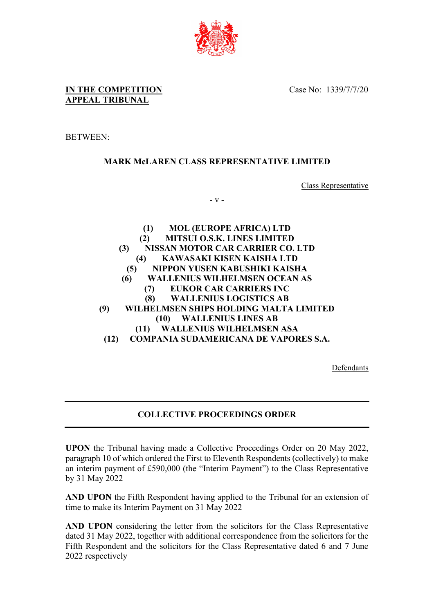

## **IN THE COMPETITION APPEAL TRIBUNAL**

#### BETWEEN:

## **MARK McLAREN CLASS REPRESENTATIVE LIMITED**

Class Representative

- v -

**(1) MOL (EUROPE AFRICA) LTD (2) MITSUI O.S.K. LINES LIMITED (3) NISSAN MOTOR CAR CARRIER CO. LTD (4) KAWASAKI KISEN KAISHA LTD (5) NIPPON YUSEN KABUSHIKI KAISHA (6) WALLENIUS WILHELMSEN OCEAN AS (7) EUKOR CAR CARRIERS INC (8) WALLENIUS LOGISTICS AB (9) WILHELMSEN SHIPS HOLDING MALTA LIMITED (10) WALLENIUS LINES AB (11) WALLENIUS WILHELMSEN ASA (12) COMPANIA SUDAMERICANA DE VAPORES S.A.**

Defendants

## **COLLECTIVE PROCEEDINGS ORDER**

**UPON** the Tribunal having made a Collective Proceedings Order on 20 May 2022, paragraph 10 of which ordered the First to Eleventh Respondents (collectively) to make an interim payment of £590,000 (the "Interim Payment") to the Class Representative by 31 May 2022

**AND UPON** the Fifth Respondent having applied to the Tribunal for an extension of time to make its Interim Payment on 31 May 2022

**AND UPON** considering the letter from the solicitors for the Class Representative dated 31 May 2022, together with additional correspondence from the solicitors for the Fifth Respondent and the solicitors for the Class Representative dated 6 and 7 June 2022 respectively